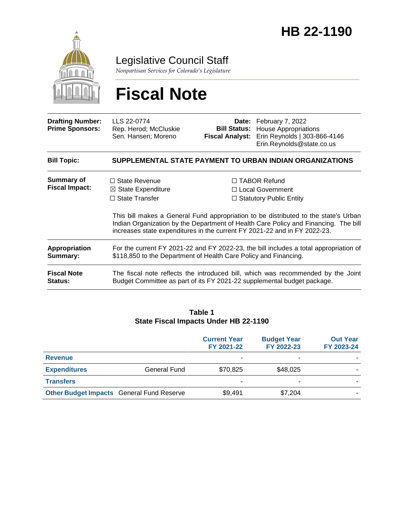

Legislative Council Staff

*Nonpartisan Services for Colorado's Legislature*

# **Fiscal Note**

| <b>Drafting Number:</b><br><b>Prime Sponsors:</b> | LLS 22-0774<br>Rep. Herod; McCluskie<br>Sen. Hansen; Moreno                                                                                                                                                                                             | <b>Fiscal Analyst:</b>                                    | Date: February 7, 2022<br><b>Bill Status:</b> House Appropriations<br>Erin Reynolds   303-866-4146<br>Erin.Reynolds@state.co.us                             |  |  |
|---------------------------------------------------|---------------------------------------------------------------------------------------------------------------------------------------------------------------------------------------------------------------------------------------------------------|-----------------------------------------------------------|-------------------------------------------------------------------------------------------------------------------------------------------------------------|--|--|
| <b>Bill Topic:</b>                                | SUPPLEMENTAL STATE PAYMENT TO URBAN INDIAN ORGANIZATIONS                                                                                                                                                                                                |                                                           |                                                                                                                                                             |  |  |
| <b>Summary of</b><br><b>Fiscal Impact:</b>        | $\Box$ State Revenue                                                                                                                                                                                                                                    |                                                           | $\Box$ TABOR Refund                                                                                                                                         |  |  |
|                                                   | $\boxtimes$ State Expenditure<br>$\Box$ State Transfer                                                                                                                                                                                                  | $\Box$ Local Government<br>$\Box$ Statutory Public Entity |                                                                                                                                                             |  |  |
|                                                   | This bill makes a General Fund appropriation to be distributed to the state's Urban<br>Indian Organization by the Department of Health Care Policy and Financing. The bill<br>increases state expenditures in the current FY 2021-22 and in FY 2022-23. |                                                           |                                                                                                                                                             |  |  |
| Appropriation<br>Summary:                         | For the current FY 2021-22 and FY 2022-23, the bill includes a total appropriation of<br>\$118,850 to the Department of Health Care Policy and Financing.                                                                                               |                                                           |                                                                                                                                                             |  |  |
| <b>Fiscal Note</b><br><b>Status:</b>              |                                                                                                                                                                                                                                                         |                                                           | The fiscal note reflects the introduced bill, which was recommended by the Joint<br>Budget Committee as part of its FY 2021-22 supplemental budget package. |  |  |

#### **Table 1 State Fiscal Impacts Under HB 22-1190**

|                                                  |              | <b>Current Year</b><br>FY 2021-22 | <b>Budget Year</b><br>FY 2022-23 | <b>Out Year</b><br>FY 2023-24 |
|--------------------------------------------------|--------------|-----------------------------------|----------------------------------|-------------------------------|
| <b>Revenue</b>                                   |              | ۰                                 | ۰                                |                               |
| <b>Expenditures</b>                              | General Fund | \$70,825                          | \$48,025                         |                               |
| <b>Transfers</b>                                 |              | $\overline{\phantom{a}}$          | -                                |                               |
| <b>Other Budget Impacts General Fund Reserve</b> |              | \$9,491                           | \$7,204                          |                               |